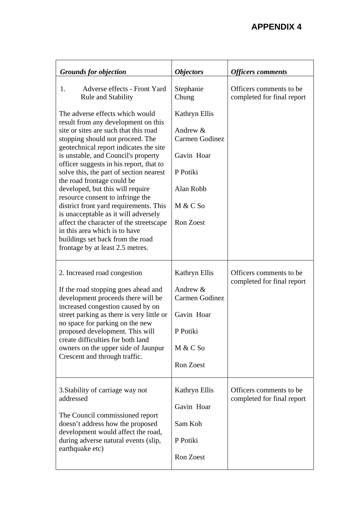## **APPENDIX 4**

| <b>Grounds for objection</b>                                                                                                                                                                                                                                                                                                                                                                                                                                                                                                                                                                                                                                           | <i><b>Objectors</b></i>                                                                                              | <b>Officers comments</b>                               |
|------------------------------------------------------------------------------------------------------------------------------------------------------------------------------------------------------------------------------------------------------------------------------------------------------------------------------------------------------------------------------------------------------------------------------------------------------------------------------------------------------------------------------------------------------------------------------------------------------------------------------------------------------------------------|----------------------------------------------------------------------------------------------------------------------|--------------------------------------------------------|
| Adverse effects - Front Yard<br>1.<br><b>Rule and Stability</b>                                                                                                                                                                                                                                                                                                                                                                                                                                                                                                                                                                                                        | Stephanie<br>Chung                                                                                                   | Officers comments to be.<br>completed for final report |
| The adverse effects which would<br>result from any development on this<br>site or sites are such that this road<br>stopping should not proceed. The<br>geotechnical report indicates the site<br>is unstable, and Council's property<br>officer suggests in his report, that to<br>solve this, the part of section nearest<br>the road frontage could be<br>developed, but this will require<br>resource consent to infringe the<br>district front yard requirements. This<br>is unacceptable as it will adversely<br>affect the character of the streetscape<br>in this area which is to have<br>buildings set back from the road<br>frontage by at least 2.5 metres. | Kathryn Ellis<br>Andrew &<br>Carmen Godinez<br>Gavin Hoar<br>P Potiki<br>Alan Robb<br>$M & C$ So<br><b>Ron Zoest</b> |                                                        |
| 2. Increased road congestion<br>If the road stopping goes ahead and<br>development proceeds there will be<br>increased congestion caused by on<br>street parking as there is very little or<br>no space for parking on the new<br>proposed development. This will<br>create difficulties for both land<br>owners on the upper side of Jaunpur<br>Crescent and through traffic.                                                                                                                                                                                                                                                                                         | Kathryn Ellis<br>Andrew &<br>Carmen Godinez<br>Gavin Hoar<br>P Potiki<br>M & C So<br>Ron Zoest                       | Officers comments to be<br>completed for final report  |
| 3. Stability of carriage way not<br>addressed<br>The Council commissioned report<br>doesn't address how the proposed<br>development would affect the road,<br>during adverse natural events (slip,<br>earthquake etc)                                                                                                                                                                                                                                                                                                                                                                                                                                                  | Kathryn Ellis<br>Gavin Hoar<br>Sam Koh<br>P Potiki<br>Ron Zoest                                                      | Officers comments to be.<br>completed for final report |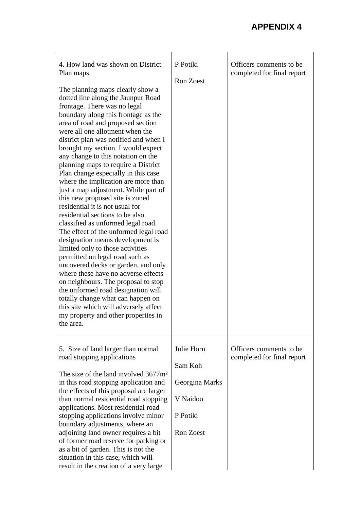| 4. How land was shown on District<br>Plan maps<br>The planning maps clearly show a<br>dotted line along the Jaunpur Road<br>frontage. There was no legal<br>boundary along this frontage as the<br>area of road and proposed section<br>were all one allotment when the<br>district plan was notified and when I<br>brought my section. I would expect<br>any change to this notation on the<br>planning maps to require a District<br>Plan change especially in this case<br>where the implication are more than<br>just a map adjustment. While part of<br>this new proposed site is zoned<br>residential it is not usual for<br>residential sections to be also<br>classified as unformed legal road.<br>The effect of the unformed legal road<br>designation means development is<br>limited only to those activities<br>permitted on legal road such as<br>uncovered decks or garden, and only<br>where these have no adverse effects<br>on neighbours. The proposal to stop<br>the unformed road designation will<br>totally change what can happen on<br>this site which will adversely affect<br>my property and other properties in<br>the area. | P Potiki<br><b>Ron Zoest</b>                                                        | Officers comments to be<br>completed for final report  |
|-----------------------------------------------------------------------------------------------------------------------------------------------------------------------------------------------------------------------------------------------------------------------------------------------------------------------------------------------------------------------------------------------------------------------------------------------------------------------------------------------------------------------------------------------------------------------------------------------------------------------------------------------------------------------------------------------------------------------------------------------------------------------------------------------------------------------------------------------------------------------------------------------------------------------------------------------------------------------------------------------------------------------------------------------------------------------------------------------------------------------------------------------------------|-------------------------------------------------------------------------------------|--------------------------------------------------------|
| 5. Size of land larger than normal<br>road stopping applications<br>The size of the land involved 3677m <sup>2</sup><br>in this road stopping application and<br>the effects of this proposal are larger<br>than normal residential road stopping<br>applications. Most residential road<br>stopping applications involve minor<br>boundary adjustments, where an<br>adjoining land owner requires a bit<br>of former road reserve for parking or<br>as a bit of garden. This is not the<br>situation in this case, which will<br>result in the creation of a very large                                                                                                                                                                                                                                                                                                                                                                                                                                                                                                                                                                                  | Julie Horn<br>Sam Koh<br>Georgina Marks<br>V Naidoo<br>P Potiki<br><b>Ron Zoest</b> | Officers comments to be.<br>completed for final report |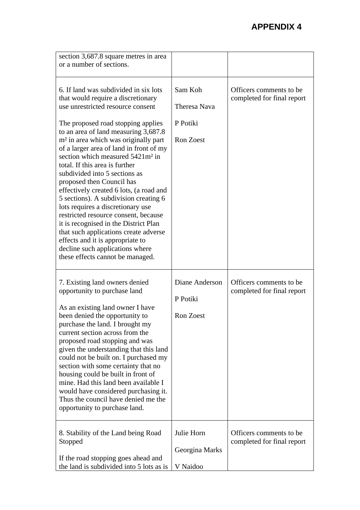| section 3,687.8 square metres in area<br>or a number of sections.                                                                                                                                                                                                                                                                                                                                                                                                                                                                                                                                                                                                                                                                                                                                           |                                                         |                                                        |
|-------------------------------------------------------------------------------------------------------------------------------------------------------------------------------------------------------------------------------------------------------------------------------------------------------------------------------------------------------------------------------------------------------------------------------------------------------------------------------------------------------------------------------------------------------------------------------------------------------------------------------------------------------------------------------------------------------------------------------------------------------------------------------------------------------------|---------------------------------------------------------|--------------------------------------------------------|
| 6. If land was subdivided in six lots<br>that would require a discretionary<br>use unrestricted resource consent<br>The proposed road stopping applies<br>to an area of land measuring 3,687.8<br>m <sup>2</sup> in area which was originally part<br>of a larger area of land in front of my<br>section which measured 5421m <sup>2</sup> in<br>total. If this area is further<br>subdivided into 5 sections as<br>proposed then Council has<br>effectively created 6 lots, (a road and<br>5 sections). A subdivision creating 6<br>lots requires a discretionary use<br>restricted resource consent, because<br>it is recognised in the District Plan<br>that such applications create adverse<br>effects and it is appropriate to<br>decline such applications where<br>these effects cannot be managed. | Sam Koh<br>Theresa Nava<br>P Potiki<br><b>Ron Zoest</b> | Officers comments to be.<br>completed for final report |
| 7. Existing land owners denied<br>opportunity to purchase land<br>As an existing land owner I have<br>been denied the opportunity to<br>purchase the land. I brought my<br>current section across from the<br>proposed road stopping and was<br>given the understanding that this land<br>could not be built on. I purchased my<br>section with some certainty that no<br>housing could be built in front of<br>mine. Had this land been available I<br>would have considered purchasing it.<br>Thus the council have denied me the<br>opportunity to purchase land.                                                                                                                                                                                                                                        | Diane Anderson<br>P Potiki<br><b>Ron Zoest</b>          | Officers comments to be.<br>completed for final report |
| 8. Stability of the Land being Road<br>Stopped<br>If the road stopping goes ahead and<br>the land is subdivided into 5 lots as is                                                                                                                                                                                                                                                                                                                                                                                                                                                                                                                                                                                                                                                                           | Julie Horn<br>Georgina Marks<br>V Naidoo                | Officers comments to be.<br>completed for final report |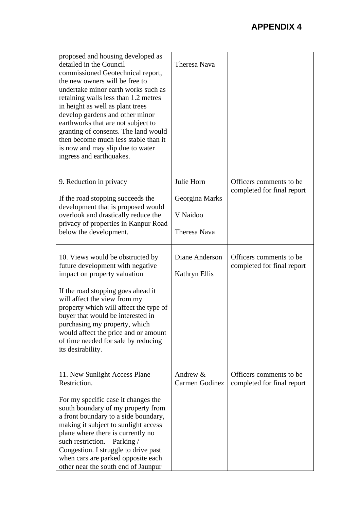| proposed and housing developed as<br>detailed in the Council<br>commissioned Geotechnical report,<br>the new owners will be free to<br>undertake minor earth works such as<br>retaining walls less than 1.2 metres<br>in height as well as plant trees<br>develop gardens and other minor<br>earthworks that are not subject to<br>granting of consents. The land would<br>then become much less stable than it<br>is now and may slip due to water<br>ingress and earthquakes. | <b>Theresa Nava</b>                                             |                                                        |
|---------------------------------------------------------------------------------------------------------------------------------------------------------------------------------------------------------------------------------------------------------------------------------------------------------------------------------------------------------------------------------------------------------------------------------------------------------------------------------|-----------------------------------------------------------------|--------------------------------------------------------|
| 9. Reduction in privacy<br>If the road stopping succeeds the<br>development that is proposed would<br>overlook and drastically reduce the<br>privacy of properties in Kanpur Road<br>below the development.                                                                                                                                                                                                                                                                     | Julie Horn<br>Georgina Marks<br>V Naidoo<br><b>Theresa Nava</b> | Officers comments to be.<br>completed for final report |
| 10. Views would be obstructed by<br>future development with negative<br>impact on property valuation<br>If the road stopping goes ahead it<br>will affect the view from my<br>property which will affect the type of<br>buyer that would be interested in<br>purchasing my property, which<br>would affect the price and or amount<br>of time needed for sale by reducing<br>its desirability.                                                                                  | Diane Anderson<br>Kathryn Ellis                                 | Officers comments to be<br>completed for final report  |
| 11. New Sunlight Access Plane<br>Restriction.<br>For my specific case it changes the<br>south boundary of my property from<br>a front boundary to a side boundary,<br>making it subject to sunlight access<br>plane where there is currently no<br>such restriction. Parking /<br>Congestion. I struggle to drive past<br>when cars are parked opposite each<br>other near the south end of Jaunpur                                                                             | Andrew &<br>Carmen Godinez                                      | Officers comments to be.<br>completed for final report |